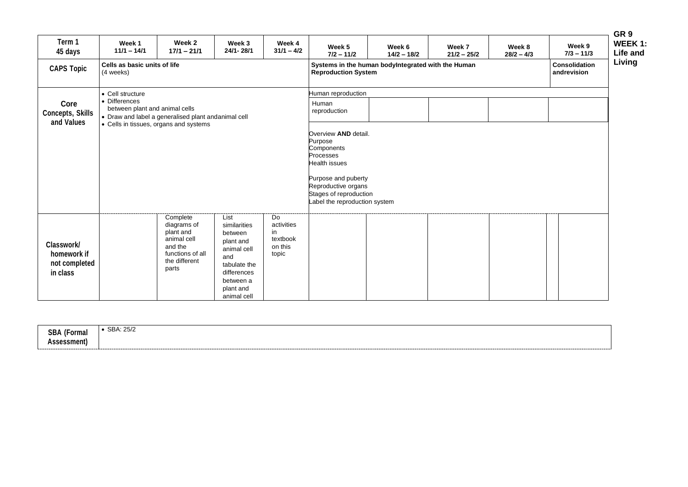| Term 1<br>45 days                                      | Week 1<br>$11/1 - 14/1$                                                                                                                                              | Week 2<br>$17/1 - 21/1$                                                                                      | Week 3<br>24/1-28/1                                                                                                                        | Week 4<br>$31/1 - 4/2$                                                            | Week 5<br>$7/2 - 11/2$                                                         | Week 6<br>$14/2 - 18/2$                            | Week 7<br>$21/2 - 25/2$ | Week 8<br>$28/2 - 4/3$ | Week 9<br>$7/3 - 11/3$              |
|--------------------------------------------------------|----------------------------------------------------------------------------------------------------------------------------------------------------------------------|--------------------------------------------------------------------------------------------------------------|--------------------------------------------------------------------------------------------------------------------------------------------|-----------------------------------------------------------------------------------|--------------------------------------------------------------------------------|----------------------------------------------------|-------------------------|------------------------|-------------------------------------|
| <b>CAPS Topic</b>                                      | Cells as basic units of life<br>(4 weeks)                                                                                                                            |                                                                                                              |                                                                                                                                            |                                                                                   | <b>Reproduction System</b>                                                     | Systems in the human bodyIntegrated with the Human |                         |                        | <b>Consolidation</b><br>andrevision |
| Core<br><b>Concepts, Skills</b><br>and Values          | • Cell structure<br>• Differences<br>between plant and animal cells<br>• Draw and label a generalised plant andanimal cell<br>• Cells in tissues, organs and systems |                                                                                                              |                                                                                                                                            | Human reproduction<br>Human<br>reproduction<br>Overview AND detail.               |                                                                                |                                                    |                         |                        |                                     |
|                                                        |                                                                                                                                                                      |                                                                                                              |                                                                                                                                            | Purpose<br>Components<br>Processes<br><b>Health issues</b><br>Purpose and puberty |                                                                                |                                                    |                         |                        |                                     |
|                                                        |                                                                                                                                                                      |                                                                                                              |                                                                                                                                            |                                                                                   | Reproductive organs<br>Stages of reproduction<br>Label the reproduction system |                                                    |                         |                        |                                     |
| Classwork/<br>homework if<br>not completed<br>in class |                                                                                                                                                                      | Complete<br>diagrams of<br>plant and<br>animal cell<br>and the<br>functions of all<br>the different<br>parts | List<br>similarities<br>between<br>plant and<br>animal cell<br>and<br>tabulate the<br>differences<br>between a<br>plant and<br>animal cell | Do<br>activities<br>in<br>textbook<br>on this<br>topic                            |                                                                                |                                                    |                         |                        |                                     |
|                                                        |                                                                                                                                                                      |                                                                                                              |                                                                                                                                            |                                                                                   |                                                                                |                                                    |                         |                        |                                     |
| <b>SBA (Formal</b><br>Assessment)                      | • SBA: 25/2                                                                                                                                                          |                                                                                                              |                                                                                                                                            |                                                                                   |                                                                                |                                                    |                         |                        |                                     |

| <b>CDA</b><br>$\sqrt{2}$<br>Formal<br>JDA | SBA: 25/2 |
|-------------------------------------------|-----------|
| !ssment)                                  |           |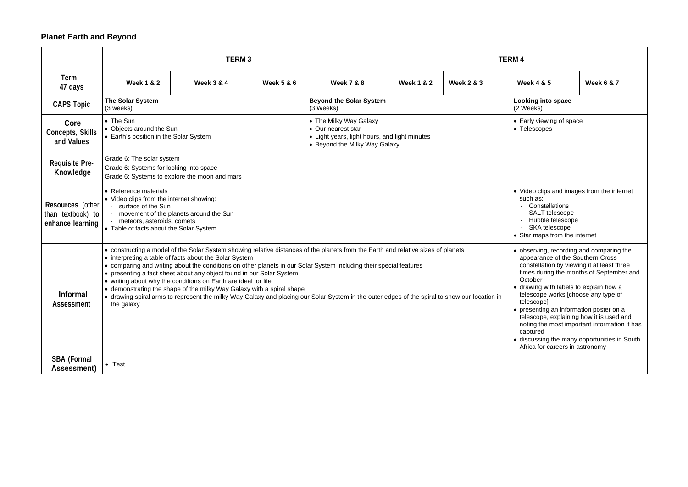## **Planet Earth and Beyond**

|                                                                  | <b>TERM3</b>                                                                                                                                                                                                                                                                                                                                                                                                                                                                                                                                                                                                                                                                                                                                                                                                                                                                                                                                                                                                                                                                                                                                                                             |                       |                       |                                                                                                                                | <b>TERM4</b>          |                                          |                       |                       |  |
|------------------------------------------------------------------|------------------------------------------------------------------------------------------------------------------------------------------------------------------------------------------------------------------------------------------------------------------------------------------------------------------------------------------------------------------------------------------------------------------------------------------------------------------------------------------------------------------------------------------------------------------------------------------------------------------------------------------------------------------------------------------------------------------------------------------------------------------------------------------------------------------------------------------------------------------------------------------------------------------------------------------------------------------------------------------------------------------------------------------------------------------------------------------------------------------------------------------------------------------------------------------|-----------------------|-----------------------|--------------------------------------------------------------------------------------------------------------------------------|-----------------------|------------------------------------------|-----------------------|-----------------------|--|
| <b>Term</b><br>47 days                                           | <b>Week 1 &amp; 2</b>                                                                                                                                                                                                                                                                                                                                                                                                                                                                                                                                                                                                                                                                                                                                                                                                                                                                                                                                                                                                                                                                                                                                                                    | <b>Week 3 &amp; 4</b> | <b>Week 5 &amp; 6</b> | <b>Week 7 &amp; 8</b>                                                                                                          | <b>Week 1 &amp; 2</b> | <b>Week 2 &amp; 3</b>                    | <b>Week 4 &amp; 5</b> | <b>Week 6 &amp; 7</b> |  |
| <b>CAPS Topic</b>                                                | The Solar System<br>(3 weeks)                                                                                                                                                                                                                                                                                                                                                                                                                                                                                                                                                                                                                                                                                                                                                                                                                                                                                                                                                                                                                                                                                                                                                            |                       |                       | <b>Beyond the Solar System</b><br>(3 Weeks)                                                                                    |                       | <b>Looking into space</b><br>(2 Weeks)   |                       |                       |  |
| Core<br><b>Concepts, Skills</b><br>and Values                    | • The Sun<br>• Objects around the Sun<br>• Earth's position in the Solar System                                                                                                                                                                                                                                                                                                                                                                                                                                                                                                                                                                                                                                                                                                                                                                                                                                                                                                                                                                                                                                                                                                          |                       |                       | • The Milky Way Galaxy<br>• Our nearest star<br>• Light years, light hours, and light minutes<br>• Beyond the Milky Way Galaxy |                       | • Early viewing of space<br>• Telescopes |                       |                       |  |
| <b>Requisite Pre-</b><br>Knowledge                               | Grade 6: The solar system<br>Grade 6: Systems for looking into space<br>Grade 6: Systems to explore the moon and mars                                                                                                                                                                                                                                                                                                                                                                                                                                                                                                                                                                                                                                                                                                                                                                                                                                                                                                                                                                                                                                                                    |                       |                       |                                                                                                                                |                       |                                          |                       |                       |  |
| <b>Resources</b> (other<br>than textbook) to<br>enhance learning | • Reference materials<br>• Video clips and images from the int<br>such as:<br>• Video clips from the internet showing:<br>- Constellations<br>surface of the Sun<br>- SALT telescope<br>- movement of the planets around the Sun<br>- Hubble telescope<br>- meteors, asteroids, comets<br>- SKA telescope<br>• Table of facts about the Solar System<br>• Star maps from the internet                                                                                                                                                                                                                                                                                                                                                                                                                                                                                                                                                                                                                                                                                                                                                                                                    |                       |                       |                                                                                                                                |                       |                                          |                       |                       |  |
| <b>Informal</b><br>Assessment                                    | • constructing a model of the Solar System showing relative distances of the planets from the Earth and relative sizes of planets<br>• observing, recording and comparing<br>appearance of the Southern Cross<br>• interpreting a table of facts about the Solar System<br>constellation by viewing it at least th<br>• comparing and writing about the conditions on other planets in our Solar System including their special features<br>times during the months of Septem<br>• presenting a fact sheet about any object found in our Solar System<br>October<br>• writing about why the conditions on Earth are ideal for life<br>• drawing with labels to explain how<br>• demonstrating the shape of the milky Way Galaxy with a spiral shape<br>telescope works [choose any type of<br>• drawing spiral arms to represent the milky Way Galaxy and placing our Solar System in the outer edges of the spiral to show our location in<br>telescope]<br>the galaxy<br>• presenting an information poster on<br>telescope, explaining how it is used<br>noting the most important informatio<br>captured<br>• discussing the many opportunities i<br>Africa for careers in astronomy |                       |                       |                                                                                                                                |                       |                                          |                       |                       |  |
| <b>SBA (Formal</b><br>Assessment)                                | $\bullet$ Test                                                                                                                                                                                                                                                                                                                                                                                                                                                                                                                                                                                                                                                                                                                                                                                                                                                                                                                                                                                                                                                                                                                                                                           |                       |                       |                                                                                                                                |                       |                                          |                       |                       |  |

| M 4                                                                                                                                                                                                                                                                                                                                                                                                                                                                                                                             |                                                                                                                                                                             |                       |  |  |  |  |  |
|---------------------------------------------------------------------------------------------------------------------------------------------------------------------------------------------------------------------------------------------------------------------------------------------------------------------------------------------------------------------------------------------------------------------------------------------------------------------------------------------------------------------------------|-----------------------------------------------------------------------------------------------------------------------------------------------------------------------------|-----------------------|--|--|--|--|--|
|                                                                                                                                                                                                                                                                                                                                                                                                                                                                                                                                 | <b>Week 4 &amp; 5</b>                                                                                                                                                       | <b>Week 6 &amp; 7</b> |  |  |  |  |  |
|                                                                                                                                                                                                                                                                                                                                                                                                                                                                                                                                 | <b>Looking into space</b><br>(2 Weeks)                                                                                                                                      |                       |  |  |  |  |  |
|                                                                                                                                                                                                                                                                                                                                                                                                                                                                                                                                 | • Early viewing of space<br>• Telescopes                                                                                                                                    |                       |  |  |  |  |  |
|                                                                                                                                                                                                                                                                                                                                                                                                                                                                                                                                 |                                                                                                                                                                             |                       |  |  |  |  |  |
|                                                                                                                                                                                                                                                                                                                                                                                                                                                                                                                                 | • Video clips and images from the internet<br>such as:<br>Constellations<br>- SALT telescope<br>- Hubble telescope<br><b>SKA</b> telescope<br>• Star maps from the internet |                       |  |  |  |  |  |
| • observing, recording and comparing the<br>appearance of the Southern Cross<br>constellation by viewing it at least three<br>times during the months of September and<br>October<br>• drawing with labels to explain how a<br>telescope works [choose any type of<br>telescope]<br>presenting an information poster on a<br>telescope, explaining how it is used and<br>noting the most important information it has<br>captured<br>discussing the many opportunities in South<br>$\bullet$<br>Africa for careers in astronomy |                                                                                                                                                                             |                       |  |  |  |  |  |
|                                                                                                                                                                                                                                                                                                                                                                                                                                                                                                                                 |                                                                                                                                                                             |                       |  |  |  |  |  |